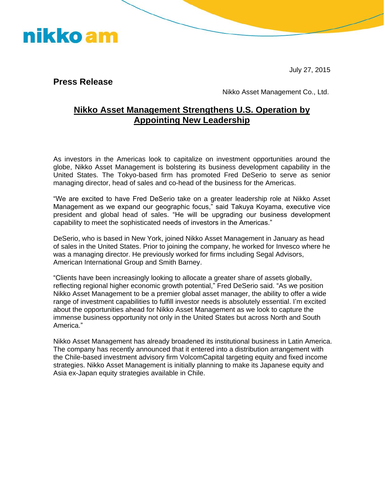

July 27, 2015

**Press Release** 

Nikko Asset Management Co., Ltd.

## **Nikko Asset Management Strengthens U.S. Operation by Appointing New Leadership**

As investors in the Americas look to capitalize on investment opportunities around the globe, Nikko Asset Management is bolstering its business development capability in the United States. The Tokyo-based firm has promoted Fred DeSerio to serve as senior managing director, head of sales and co-head of the business for the Americas.

"We are excited to have Fred DeSerio take on a greater leadership role at Nikko Asset Management as we expand our geographic focus," said Takuya Koyama, executive vice president and global head of sales. "He will be upgrading our business development capability to meet the sophisticated needs of investors in the Americas."

DeSerio, who is based in New York, joined Nikko Asset Management in January as head of sales in the United States. Prior to joining the company, he worked for Invesco where he was a managing director. He previously worked for firms including Segal Advisors, American International Group and Smith Barney.

"Clients have been increasingly looking to allocate a greater share of assets globally, reflecting regional higher economic growth potential," Fred DeSerio said. "As we position Nikko Asset Management to be a premier global asset manager, the ability to offer a wide range of investment capabilities to fulfill investor needs is absolutely essential. I'm excited about the opportunities ahead for Nikko Asset Management as we look to capture the immense business opportunity not only in the United States but across North and South America."

Nikko Asset Management has already broadened its institutional business in Latin America. The company has recently announced that it entered into a distribution arrangement with the Chile-based investment advisory firm VolcomCapital targeting equity and fixed income strategies. Nikko Asset Management is initially planning to make its Japanese equity and Asia ex-Japan equity strategies available in Chile.